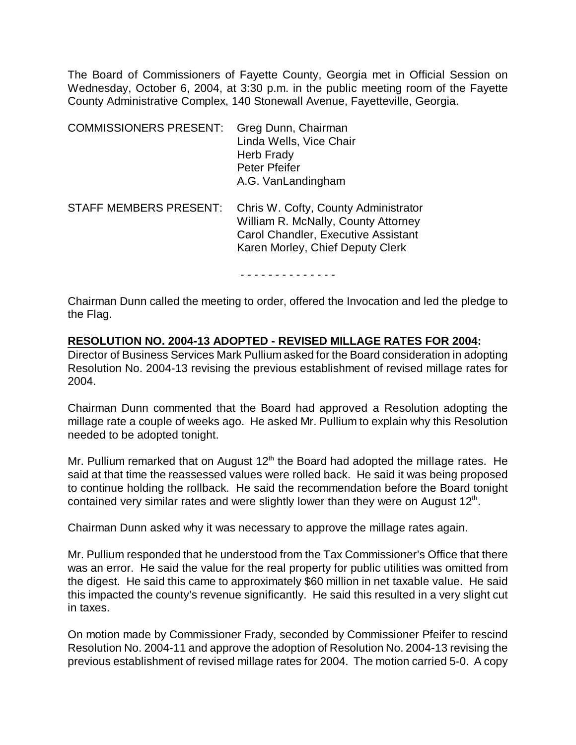The Board of Commissioners of Fayette County, Georgia met in Official Session on Wednesday, October 6, 2004, at 3:30 p.m. in the public meeting room of the Fayette County Administrative Complex, 140 Stonewall Avenue, Fayetteville, Georgia.

| <b>COMMISSIONERS PRESENT:</b> | Greg Dunn, Chairman<br>Linda Wells, Vice Chair<br>Herb Frady<br>Peter Pfeifer<br>A.G. VanLandingham                                                    |
|-------------------------------|--------------------------------------------------------------------------------------------------------------------------------------------------------|
| <b>STAFF MEMBERS PRESENT:</b> | Chris W. Cofty, County Administrator<br>William R. McNally, County Attorney<br>Carol Chandler, Executive Assistant<br>Karen Morley, Chief Deputy Clerk |

#### - - - - - - - - - - - - - -

Chairman Dunn called the meeting to order, offered the Invocation and led the pledge to the Flag.

#### **RESOLUTION NO. 2004-13 ADOPTED - REVISED MILLAGE RATES FOR 2004:**

Director of Business Services Mark Pullium asked for the Board consideration in adopting Resolution No. 2004-13 revising the previous establishment of revised millage rates for 2004.

Chairman Dunn commented that the Board had approved a Resolution adopting the millage rate a couple of weeks ago. He asked Mr. Pullium to explain why this Resolution needed to be adopted tonight.

Mr. Pullium remarked that on August  $12<sup>th</sup>$  the Board had adopted the millage rates. He said at that time the reassessed values were rolled back. He said it was being proposed to continue holding the rollback. He said the recommendation before the Board tonight contained very similar rates and were slightly lower than they were on August 12<sup>th</sup>.

Chairman Dunn asked why it was necessary to approve the millage rates again.

Mr. Pullium responded that he understood from the Tax Commissioner's Office that there was an error. He said the value for the real property for public utilities was omitted from the digest. He said this came to approximately \$60 million in net taxable value. He said this impacted the county's revenue significantly. He said this resulted in a very slight cut in taxes.

On motion made by Commissioner Frady, seconded by Commissioner Pfeifer to rescind Resolution No. 2004-11 and approve the adoption of Resolution No. 2004-13 revising the previous establishment of revised millage rates for 2004. The motion carried 5-0. A copy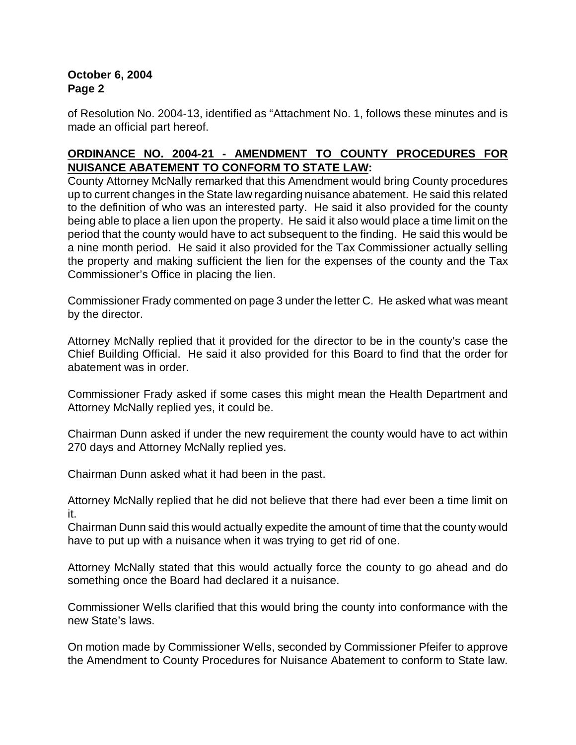# **October 6, 2004 Page 2**

of Resolution No. 2004-13, identified as "Attachment No. 1, follows these minutes and is made an official part hereof.

# **ORDINANCE NO. 2004-21 - AMENDMENT TO COUNTY PROCEDURES FOR NUISANCE ABATEMENT TO CONFORM TO STATE LAW:**

County Attorney McNally remarked that this Amendment would bring County procedures up to current changes in the State law regarding nuisance abatement. He said this related to the definition of who was an interested party. He said it also provided for the county being able to place a lien upon the property. He said it also would place a time limit on the period that the county would have to act subsequent to the finding. He said this would be a nine month period. He said it also provided for the Tax Commissioner actually selling the property and making sufficient the lien for the expenses of the county and the Tax Commissioner's Office in placing the lien.

Commissioner Frady commented on page 3 under the letter C. He asked what was meant by the director.

Attorney McNally replied that it provided for the director to be in the county's case the Chief Building Official. He said it also provided for this Board to find that the order for abatement was in order.

Commissioner Frady asked if some cases this might mean the Health Department and Attorney McNally replied yes, it could be.

Chairman Dunn asked if under the new requirement the county would have to act within 270 days and Attorney McNally replied yes.

Chairman Dunn asked what it had been in the past.

Attorney McNally replied that he did not believe that there had ever been a time limit on it.

Chairman Dunn said this would actually expedite the amount of time that the county would have to put up with a nuisance when it was trying to get rid of one.

Attorney McNally stated that this would actually force the county to go ahead and do something once the Board had declared it a nuisance.

Commissioner Wells clarified that this would bring the county into conformance with the new State's laws.

On motion made by Commissioner Wells, seconded by Commissioner Pfeifer to approve the Amendment to County Procedures for Nuisance Abatement to conform to State law.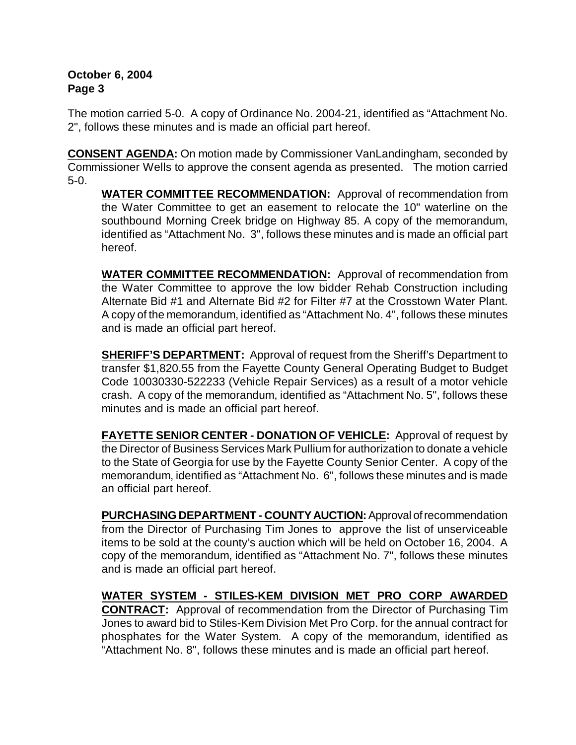## **October 6, 2004 Page 3**

The motion carried 5-0. A copy of Ordinance No. 2004-21, identified as "Attachment No. 2", follows these minutes and is made an official part hereof.

**CONSENT AGENDA:** On motion made by Commissioner VanLandingham, seconded by Commissioner Wells to approve the consent agenda as presented. The motion carried 5-0.

**WATER COMMITTEE RECOMMENDATION:** Approval of recommendation from the Water Committee to get an easement to relocate the 10" waterline on the southbound Morning Creek bridge on Highway 85. A copy of the memorandum, identified as "Attachment No. 3", follows these minutes and is made an official part hereof.

**WATER COMMITTEE RECOMMENDATION:** Approval of recommendation from the Water Committee to approve the low bidder Rehab Construction including Alternate Bid #1 and Alternate Bid #2 for Filter #7 at the Crosstown Water Plant. A copy of the memorandum, identified as "Attachment No. 4", follows these minutes and is made an official part hereof.

**SHERIFF'S DEPARTMENT:** Approval of request from the Sheriff's Department to transfer \$1,820.55 from the Fayette County General Operating Budget to Budget Code 10030330-522233 (Vehicle Repair Services) as a result of a motor vehicle crash. A copy of the memorandum, identified as "Attachment No. 5", follows these minutes and is made an official part hereof.

**FAYETTE SENIOR CENTER - DONATION OF VEHICLE:** Approval of request by the Director of Business Services Mark Pullium for authorization to donate a vehicle to the State of Georgia for use by the Fayette County Senior Center. A copy of the memorandum, identified as "Attachment No. 6", follows these minutes and is made an official part hereof.

**PURCHASING DEPARTMENT - COUNTY AUCTION:** Approval of recommendation from the Director of Purchasing Tim Jones to approve the list of unserviceable items to be sold at the county's auction which will be held on October 16, 2004. A copy of the memorandum, identified as "Attachment No. 7", follows these minutes and is made an official part hereof.

**WATER SYSTEM - STILES-KEM DIVISION MET PRO CORP AWARDED CONTRACT:** Approval of recommendation from the Director of Purchasing Tim Jones to award bid to Stiles-Kem Division Met Pro Corp. for the annual contract for phosphates for the Water System. A copy of the memorandum, identified as "Attachment No. 8", follows these minutes and is made an official part hereof.